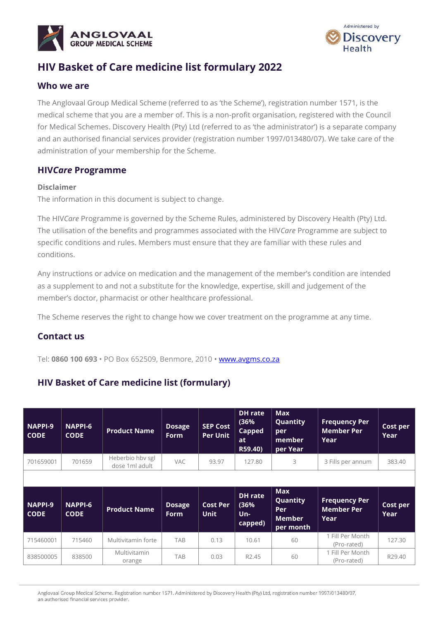



# **HIV Basket of Care medicine list formulary 2022**

### **Who we are**

The Anglovaal Group Medical Scheme (referred to as 'the Scheme'), registration number 1571, is the medical scheme that you are a member of. This is a non-profit organisation, registered with the Council for Medical Schemes. Discovery Health (Pty) Ltd (referred to as 'the administrator') is a separate company and an authorised financial services provider (registration number 1997/013480/07). We take care of the administration of your membership for the Scheme.

### **HIV***Care* **Programme**

#### **Disclaimer**

The information in this document is subject to change.

The HIV*Care* Programme is governed by the Scheme Rules, administered by Discovery Health (Pty) Ltd. The utilisation of the benefits and programmes associated with the HIV*Care* Programme are subject to specific conditions and rules. Members must ensure that they are familiar with these rules and conditions.

Any instructions or advice on medication and the management of the member's condition are intended as a supplement to and not a substitute for the knowledge, expertise, skill and judgement of the member's doctor, pharmacist or other healthcare professional.

The Scheme reserves the right to change how we cover treatment on the programme at any time.

### **Contact us**

Tel: **0860 100 693** • PO Box 652509, Benmore, 2010 • [www.avgms.co.za](http://www.avgms.co.za/)

## **HIV Basket of Care medicine list (formulary)**

| <b>NAPPI-9</b><br><b>CODE</b> | <b>NAPPI-6</b><br><b>CODE</b> | <b>Product Name</b>                | <b>Dosage</b><br><b>Form</b> | <b>SEP Cost</b><br><b>Per Unit</b> | <b>DH</b> rate<br>(36%<br><b>Capped</b><br><b>at</b><br>R59.40) | <b>Max</b><br>Quantity<br>per<br>member<br>per Year         | <b>Frequency Per</b><br><b>Member Per</b><br>Year | Cost per<br>Year |
|-------------------------------|-------------------------------|------------------------------------|------------------------------|------------------------------------|-----------------------------------------------------------------|-------------------------------------------------------------|---------------------------------------------------|------------------|
| 701659001                     | 701659                        | Heberbio hby sgl<br>dose 1ml adult | <b>VAC</b>                   | 93.97                              | 127.80                                                          | 3                                                           | 3 Fills per annum                                 | 383.40           |
|                               |                               |                                    |                              |                                    |                                                                 |                                                             |                                                   |                  |
| NAPPI-9<br><b>CODE</b>        | <b>NAPPI-6</b><br><b>CODE</b> | <b>Product Name</b>                | <b>Dosage</b><br><b>Form</b> | <b>Cost Per</b><br><b>Unit</b>     | <b>DH</b> rate<br>(36%<br>Un-<br>capped)                        | <b>Max</b><br>Quantity<br>Per<br><b>Member</b><br>per month | <b>Frequency Per</b><br><b>Member Per</b><br>Year | Cost per<br>Year |
| 715460001                     | 715460                        | Multivitamin forte                 | <b>TAB</b>                   | 0.13                               | 10.61                                                           | 60                                                          | 1 Fill Per Month<br>(Pro-rated)                   | 127.30           |
|                               |                               |                                    |                              |                                    |                                                                 |                                                             |                                                   |                  |

Anglovaal Group Medical Scheme. Registration number 1571. Administered by Discovery Health (Pty) Ltd, registration number 1997/013480/07, an authorised financial services provider.